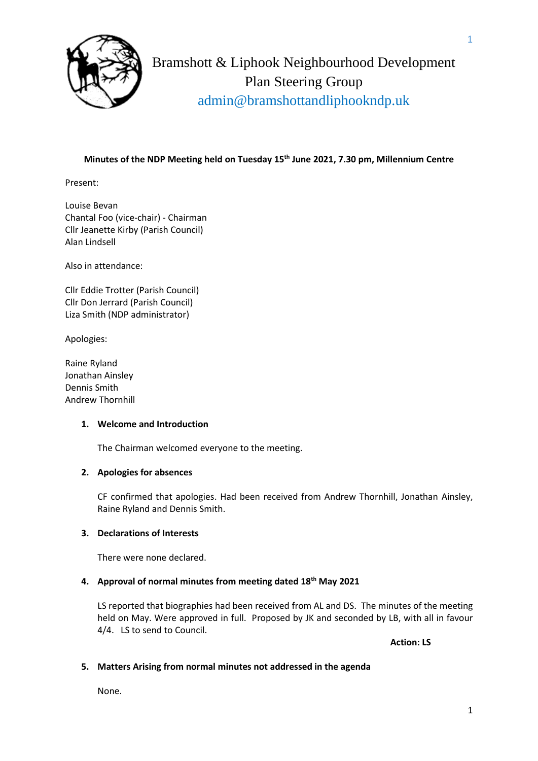

Bramshott & Liphook Neighbourhood Development Plan Steering Group admin@bramshottandliphookndp.uk

## **Minutes of the NDP Meeting held on Tuesday 15 th June 2021, 7.30 pm, Millennium Centre**

Present:

Louise Bevan Chantal Foo (vice-chair) - Chairman Cllr Jeanette Kirby (Parish Council) Alan Lindsell

Also in attendance:

Cllr Eddie Trotter (Parish Council) Cllr Don Jerrard (Parish Council) Liza Smith (NDP administrator)

Apologies:

Raine Ryland Jonathan Ainsley Dennis Smith Andrew Thornhill

#### **1. Welcome and Introduction**

The Chairman welcomed everyone to the meeting.

#### **2. Apologies for absences**

CF confirmed that apologies. Had been received from Andrew Thornhill, Jonathan Ainsley, Raine Ryland and Dennis Smith.

### **3. Declarations of Interests**

There were none declared.

#### **4. Approval of normal minutes from meeting dated 18th May 2021**

LS reported that biographies had been received from AL and DS. The minutes of the meeting held on May. Were approved in full. Proposed by JK and seconded by LB, with all in favour 4/4. LS to send to Council.

**Action: LS**

#### **5. Matters Arising from normal minutes not addressed in the agenda**

None.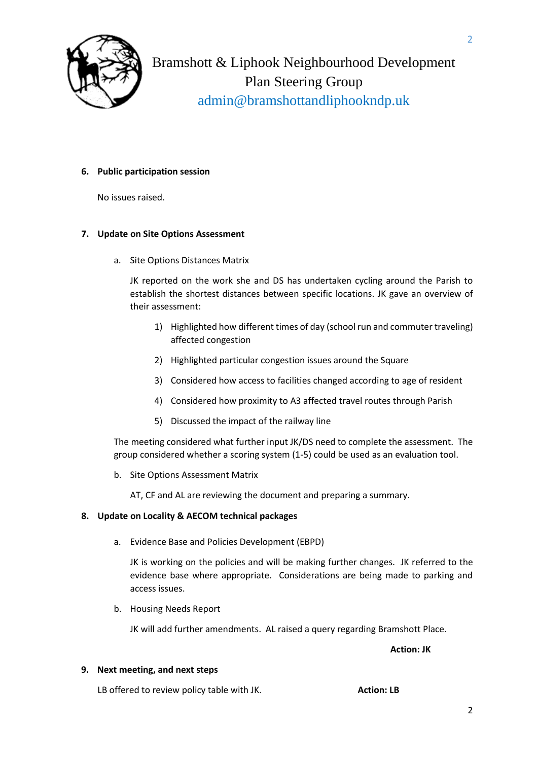

Bramshott & Liphook Neighbourhood Development Plan Steering Group admin@bramshottandliphookndp.uk

#### **6. Public participation session**

No issues raised.

#### **7. Update on Site Options Assessment**

a. Site Options Distances Matrix

JK reported on the work she and DS has undertaken cycling around the Parish to establish the shortest distances between specific locations. JK gave an overview of their assessment:

- 1) Highlighted how different times of day (school run and commuter traveling) affected congestion
- 2) Highlighted particular congestion issues around the Square
- 3) Considered how access to facilities changed according to age of resident
- 4) Considered how proximity to A3 affected travel routes through Parish
- 5) Discussed the impact of the railway line

The meeting considered what further input JK/DS need to complete the assessment. The group considered whether a scoring system (1-5) could be used as an evaluation tool.

b. Site Options Assessment Matrix

AT, CF and AL are reviewing the document and preparing a summary.

#### **8. Update on Locality & AECOM technical packages**

a. Evidence Base and Policies Development (EBPD)

JK is working on the policies and will be making further changes. JK referred to the evidence base where appropriate. Considerations are being made to parking and access issues.

b. Housing Needs Report

JK will add further amendments. AL raised a query regarding Bramshott Place.

**Action: JK**

#### **9. Next meeting, and next steps**

LB offered to review policy table with JK. **Action: LB** 

2